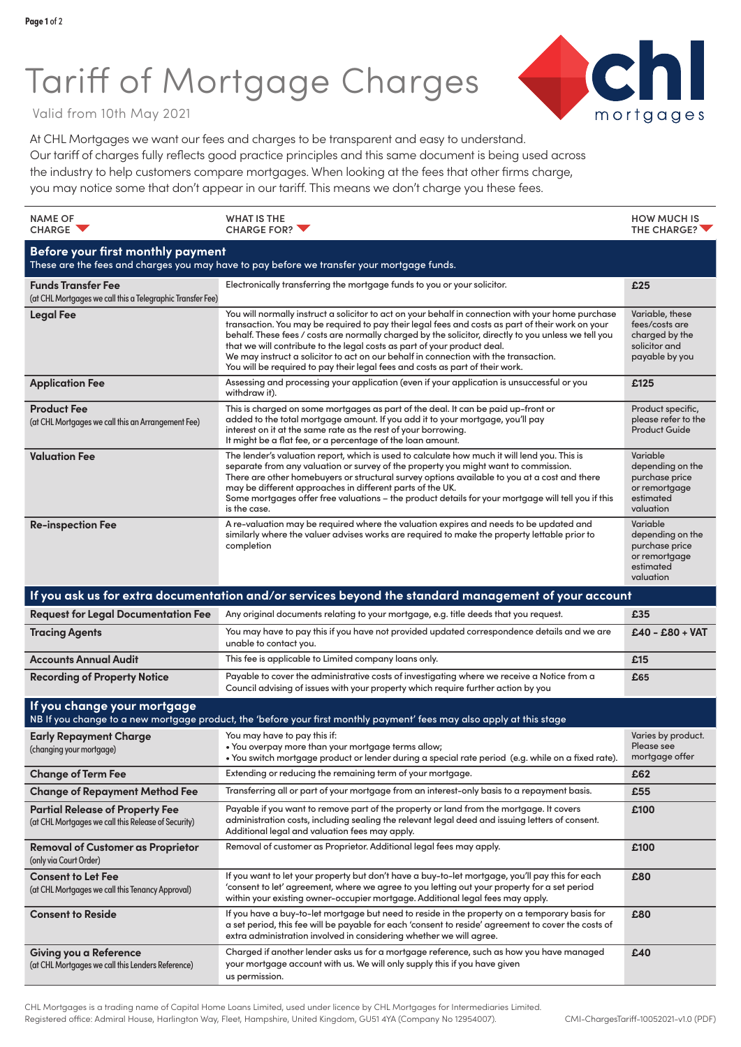## Tariff of Mortgage Charges



Valid from 10th May 2021

At CHL Mortgages we want our fees and charges to be transparent and easy to understand. Our tariff of charges fully reflects good practice principles and this same document is being used across the industry to help customers compare mortgages. When looking at the fees that other firms charge, you may notice some that don't appear in our tariff. This means we don't charge you these fees.

| <b>NAME OF</b><br><b>CHARGE</b>                                                                                                                      | <b>WHAT IS THE</b><br><b>CHARGE FOR?</b>                                                                                                                                                                                                                                                                                                                                                                                                                                                                                                                            | <b>HOW MUCH IS</b><br>THE CHARGE?                                                         |  |  |
|------------------------------------------------------------------------------------------------------------------------------------------------------|---------------------------------------------------------------------------------------------------------------------------------------------------------------------------------------------------------------------------------------------------------------------------------------------------------------------------------------------------------------------------------------------------------------------------------------------------------------------------------------------------------------------------------------------------------------------|-------------------------------------------------------------------------------------------|--|--|
| Before your first monthly payment<br>These are the fees and charges you may have to pay before we transfer your mortgage funds.                      |                                                                                                                                                                                                                                                                                                                                                                                                                                                                                                                                                                     |                                                                                           |  |  |
| <b>Funds Transfer Fee</b><br>(at CHL Mortgages we call this a Telegraphic Transfer Fee)                                                              | Electronically transferring the mortgage funds to you or your solicitor.                                                                                                                                                                                                                                                                                                                                                                                                                                                                                            | £25                                                                                       |  |  |
| <b>Legal Fee</b>                                                                                                                                     | You will normally instruct a solicitor to act on your behalf in connection with your home purchase<br>transaction. You may be required to pay their legal fees and costs as part of their work on your<br>behalf. These fees / costs are normally charged by the solicitor, directly to you unless we tell you<br>that we will contribute to the legal costs as part of your product deal.<br>We may instruct a solicitor to act on our behalf in connection with the transaction.<br>You will be required to pay their legal fees and costs as part of their work. | Variable, these<br>fees/costs are<br>charged by the<br>solicitor and<br>payable by you    |  |  |
| <b>Application Fee</b>                                                                                                                               | Assessing and processing your application (even if your application is unsuccessful or you<br>withdraw it).                                                                                                                                                                                                                                                                                                                                                                                                                                                         | £125                                                                                      |  |  |
| <b>Product Fee</b><br>(at CHL Mortgages we call this an Arrangement Fee)                                                                             | This is charged on some mortgages as part of the deal. It can be paid up-front or<br>added to the total mortgage amount. If you add it to your mortgage, you'll pay<br>interest on it at the same rate as the rest of your borrowing.<br>It might be a flat fee, or a percentage of the loan amount.                                                                                                                                                                                                                                                                | Product specific,<br>please refer to the<br><b>Product Guide</b>                          |  |  |
| <b>Valuation Fee</b>                                                                                                                                 | The lender's valuation report, which is used to calculate how much it will lend you. This is<br>separate from any valuation or survey of the property you might want to commission.<br>There are other homebuyers or structural survey options available to you at a cost and there<br>may be different approaches in different parts of the UK.<br>Some mortgages offer free valuations - the product details for your mortgage will tell you if this<br>is the case.                                                                                              | Variable<br>depending on the<br>purchase price<br>or remortgage<br>estimated<br>valuation |  |  |
| <b>Re-inspection Fee</b>                                                                                                                             | A re-valuation may be required where the valuation expires and needs to be updated and<br>similarly where the valuer advises works are required to make the property lettable prior to<br>completion                                                                                                                                                                                                                                                                                                                                                                | Variable<br>depending on the<br>purchase price<br>or remortgage<br>estimated<br>valuation |  |  |
|                                                                                                                                                      | If you ask us for extra documentation and/or services beyond the standard management of your account                                                                                                                                                                                                                                                                                                                                                                                                                                                                |                                                                                           |  |  |
| <b>Request for Legal Documentation Fee</b>                                                                                                           | Any original documents relating to your mortgage, e.g. title deeds that you request.                                                                                                                                                                                                                                                                                                                                                                                                                                                                                | £35                                                                                       |  |  |
| <b>Tracing Agents</b>                                                                                                                                | You may have to pay this if you have not provided updated correspondence details and we are<br>unable to contact you.                                                                                                                                                                                                                                                                                                                                                                                                                                               | $E40 - E80 + VAT$                                                                         |  |  |
| <b>Accounts Annual Audit</b>                                                                                                                         | This fee is applicable to Limited company loans only.                                                                                                                                                                                                                                                                                                                                                                                                                                                                                                               | £15                                                                                       |  |  |
| <b>Recording of Property Notice</b>                                                                                                                  | Payable to cover the administrative costs of investigating where we receive a Notice from a<br>Council advising of issues with your property which require further action by you                                                                                                                                                                                                                                                                                                                                                                                    | £65                                                                                       |  |  |
| If you change your mortgage<br>NB If you change to a new mortgage product, the 'before your first monthly payment' fees may also apply at this stage |                                                                                                                                                                                                                                                                                                                                                                                                                                                                                                                                                                     |                                                                                           |  |  |
| <b>Early Repayment Charge</b><br>(changing your mortgage)                                                                                            | You may have to pay this if:<br>• You overpay more than your mortgage terms allow;<br>. You switch mortgage product or lender during a special rate period (e.g. while on a fixed rate).                                                                                                                                                                                                                                                                                                                                                                            | Varies by product.<br>Please see<br>mortgage offer                                        |  |  |
| <b>Change of Term Fee</b>                                                                                                                            | Extending or reducing the remaining term of your mortgage.                                                                                                                                                                                                                                                                                                                                                                                                                                                                                                          | £62                                                                                       |  |  |
| <b>Change of Repayment Method Fee</b>                                                                                                                | Transferring all or part of your mortgage from an interest-only basis to a repayment basis.                                                                                                                                                                                                                                                                                                                                                                                                                                                                         | £55                                                                                       |  |  |
| <b>Partial Release of Property Fee</b><br>(at CHL Mortgages we call this Release of Security)                                                        | Payable if you want to remove part of the property or land from the mortgage. It covers<br>administration costs, including sealing the relevant legal deed and issuing letters of consent.<br>Additional legal and valuation fees may apply.                                                                                                                                                                                                                                                                                                                        | £100                                                                                      |  |  |
| <b>Removal of Customer as Proprietor</b><br>(only via Court Order)                                                                                   | Removal of customer as Proprietor. Additional legal fees may apply.                                                                                                                                                                                                                                                                                                                                                                                                                                                                                                 | £100                                                                                      |  |  |
| <b>Consent to Let Fee</b><br>(at CHL Mortgages we call this Tenancy Approval)                                                                        | If you want to let your property but don't have a buy-to-let mortgage, you'll pay this for each<br>'consent to let' agreement, where we agree to you letting out your property for a set period<br>within your existing owner-occupier mortgage. Additional legal fees may apply.                                                                                                                                                                                                                                                                                   | £80                                                                                       |  |  |
| <b>Consent to Reside</b>                                                                                                                             | If you have a buy-to-let mortgage but need to reside in the property on a temporary basis for<br>a set period, this fee will be payable for each 'consent to reside' agreement to cover the costs of<br>extra administration involved in considering whether we will agree.                                                                                                                                                                                                                                                                                         | £80                                                                                       |  |  |
| Giving you a Reference<br>(at CHL Mortgages we call this Lenders Reference)                                                                          | Charged if another lender asks us for a mortgage reference, such as how you have managed<br>your mortgage account with us. We will only supply this if you have given<br>us permission.                                                                                                                                                                                                                                                                                                                                                                             | £40                                                                                       |  |  |

CHL Mortgages is a trading name of Capital Home Loans Limited, used under licence by CHL Mortgages for Intermediaries Limited. Registered office: Admiral House, Harlington Way, Fleet, Hampshire, United Kingdom, GU51 4YA (Company No 12954007).